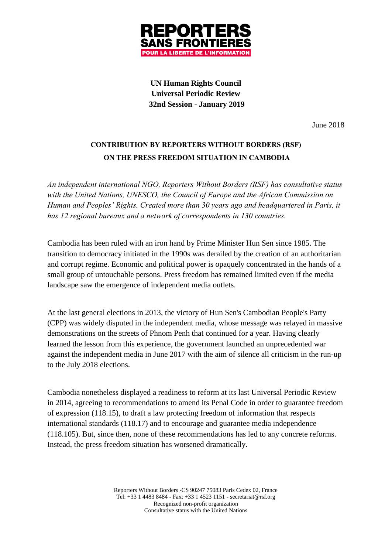

**UN Human Rights Council Universal Periodic Review 32nd Session - January 2019**

June 2018

# **CONTRIBUTION BY REPORTERS WITHOUT BORDERS (RSF) ON THE PRESS FREEDOM SITUATION IN CAMBODIA**

*An independent international NGO, Reporters Without Borders (RSF) has consultative status with the United Nations, UNESCO, the Council of Europe and the African Commission on Human and Peoples' Rights. Created more than 30 years ago and headquartered in Paris, it has 12 regional bureaux and a network of correspondents in 130 countries.*

Cambodia has been ruled with an iron hand by Prime Minister Hun Sen since 1985. The transition to democracy initiated in the 1990s was derailed by the creation of an authoritarian and corrupt regime. Economic and political power is opaquely concentrated in the hands of a small group of untouchable persons. Press freedom has remained limited even if the media landscape saw the emergence of independent media outlets.

At the last general elections in 2013, the victory of Hun Sen's Cambodian People's Party (CPP) was widely disputed in the independent media, whose message was relayed in massive demonstrations on the streets of Phnom Penh that continued for a year. Having clearly learned the lesson from this experience, the government launched an unprecedented war against the independent media in June 2017 with the aim of silence all criticism in the run-up to the July 2018 elections.

Cambodia nonetheless displayed a readiness to reform at its last Universal Periodic Review in 2014, agreeing to recommendations to amend its Penal Code in order to guarantee freedom of expression (118.15), to draft a law protecting freedom of information that respects international standards (118.17) and to encourage and guarantee media independence (118.105). But, since then, none of these recommendations has led to any concrete reforms. Instead, the press freedom situation has worsened dramatically.

> Reporters Without Borders -CS 90247 75083 Paris Cedex 02, France Tel: +33 1 4483 8484 - Fax: +33 1 4523 1151 - secretariat@rsf.org Recognized non-profit organization Consultative status with the United Nations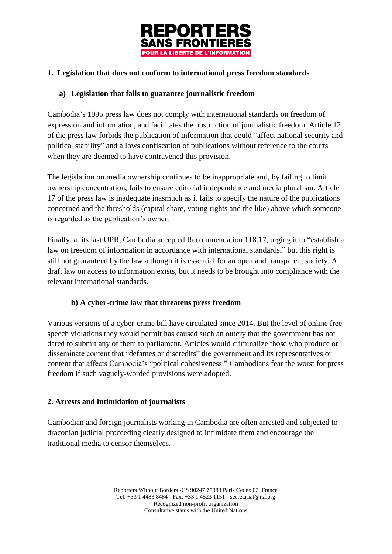

## **1. Legislation that does not conform to international press freedom standards**

#### **a) Legislation that fails to guarantee journalistic freedom**

Cambodia's 1995 press law does not comply with international standards on freedom of expression and information, and facilitates the obstruction of journalistic freedom. Article 12 of the press law forbids the publication of information that could "affect national security and political stability" and allows confiscation of publications without reference to the courts when they are deemed to have contravened this provision.

The legislation on media ownership continues to be inappropriate and, by failing to limit ownership concentration, fails to ensure editorial independence and media pluralism. Article 17 of the press law is inadequate inasmuch as it fails to specify the nature of the publications concerned and the thresholds (capital share, voting rights and the like) above which someone is regarded as the publication's owner.

Finally, at its last UPR, Cambodia accepted Recommendation 118.17, urging it to "establish a law on freedom of information in accordance with international standards," but this right is still not guaranteed by the law although it is essential for an open and transparent society. A draft law on access to information exists, but it needs to be brought into compliance with the relevant international standards.

### **b) A cyber-crime law that threatens press freedom**

Various versions of a cyber-crime bill have circulated since 2014. But the level of online free speech violations they would permit has caused such an outcry that the government has not dared to submit any of them to parliament. Articles would criminalize those who produce or disseminate content that "defames or discredits" the government and its representatives or content that affects Cambodia's "political cohesiveness." Cambodians fear the worst for press freedom if such vaguely-worded provisions were adopted.

### **2. Arrests and intimidation of journalists**

Cambodian and foreign journalists working in Cambodia are often arrested and subjected to draconian judicial proceeding clearly designed to intimidate them and encourage the traditional media to censor themselves.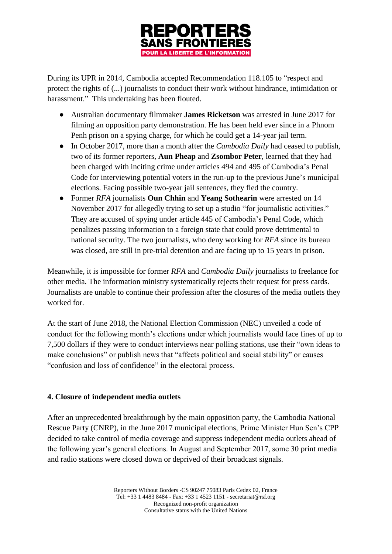

During its UPR in 2014, Cambodia accepted Recommendation 118.105 to "respect and protect the rights of (...) journalists to conduct their work without hindrance, intimidation or harassment." This undertaking has been flouted.

- Australian documentary filmmaker **James Ricketson** was arrested in June 2017 for filming an opposition party demonstration. He has been held ever since in a Phnom Penh prison on a spying charge, for which he could get a 14-year jail term.
- In October 2017, more than a month after the *Cambodia Daily* had ceased to publish, two of its former reporters, **Aun Pheap** and **Zsombor Peter**, learned that they had been charged with inciting crime under articles 494 and 495 of Cambodia's Penal Code for interviewing potential voters in the run-up to the previous June's municipal elections. Facing possible two-year jail sentences, they fled the country.
- Former *RFA* journalists **Oun Chhin** and **Yeang Sothearin** were arrested on 14 November 2017 for allegedly trying to set up a studio "for journalistic activities." They are accused of spying under article 445 of Cambodia's Penal Code, which penalizes passing information to a foreign state that could prove detrimental to national security. The two journalists, who deny working for *RFA* since its bureau was closed, are still in pre-trial detention and are facing up to 15 years in prison.

Meanwhile, it is impossible for former *RFA* and *Cambodia Daily* journalists to freelance for other media. The information ministry systematically rejects their request for press cards. Journalists are unable to continue their profession after the closures of the media outlets they worked for.

At the start of June 2018, the National Election Commission (NEC) unveiled a code of conduct for the following month's elections under which journalists would face fines of up to 7,500 dollars if they were to conduct interviews near polling stations, use their "own ideas to make conclusions" or publish news that "affects political and social stability" or causes "confusion and loss of confidence" in the electoral process.

### **4. Closure of independent media outlets**

After an unprecedented breakthrough by the main opposition party, the Cambodia National Rescue Party (CNRP), in the June 2017 municipal elections, Prime Minister Hun Sen's CPP decided to take control of media coverage and suppress independent media outlets ahead of the following year's general elections. In August and September 2017, some 30 print media and radio stations were closed down or deprived of their broadcast signals.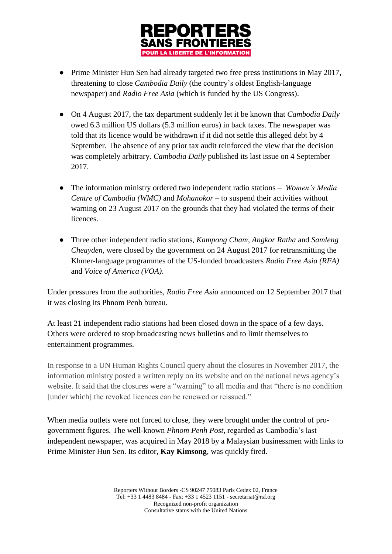

- Prime Minister Hun Sen had already targeted two free press institutions in May 2017, threatening to close *Cambodia Daily* (the country's oldest English-language newspaper) and *Radio Free Asia* (which is funded by the US Congress).
- On 4 August 2017, the tax department suddenly let it be known that *Cambodia Daily* owed 6.3 million US dollars (5.3 million euros) in back taxes. The newspaper was told that its licence would be withdrawn if it did not settle this alleged debt by 4 September. The absence of any prior tax audit reinforced the view that the decision was completely arbitrary. *Cambodia Daily* published its last issue on 4 September 2017.
- The information ministry ordered two independent radio stations *Women's Media Centre of Cambodia (WMC)* and *Mohanokor* – to suspend their activities without warning on 23 August 2017 on the grounds that they had violated the terms of their licences.
- Three other independent radio stations, *Kampong Cham*, *Angkor Ratha* and *Samleng Cheayden*, were closed by the government on 24 August 2017 for retransmitting the Khmer-language programmes of the US-funded broadcasters *Radio Free Asia (RFA)* and *Voice of America (VOA)*.

Under pressures from the authorities, *Radio Free Asia* announced on 12 September 2017 that it was closing its Phnom Penh bureau.

At least 21 independent radio stations had been closed down in the space of a few days. Others were ordered to stop broadcasting news bulletins and to limit themselves to entertainment programmes.

In response to a UN Human Rights Council query about the closures in November 2017, the information ministry posted a written reply on its website and on the national news agency's website. It said that the closures were a "warning" to all media and that "there is no condition [under which] the revoked licences can be renewed or reissued."

When media outlets were not forced to close, they were brought under the control of progovernment figures. The well-known *Phnom Penh Post*, regarded as Cambodia's last independent newspaper, was acquired in May 2018 by a Malaysian businessmen with links to Prime Minister Hun Sen. Its editor, **Kay Kimsong**, was quickly fired.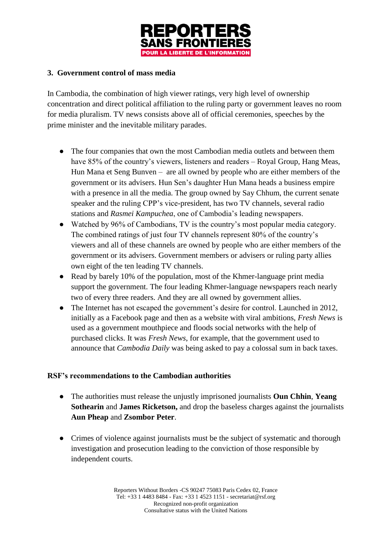

### **3. Government control of mass media**

In Cambodia, the combination of high viewer ratings, very high level of ownership concentration and direct political affiliation to the ruling party or government leaves no room for media pluralism. TV news consists above all of official ceremonies, speeches by the prime minister and the inevitable military parades.

- The four companies that own the most Cambodian media outlets and between them have 85% of the country's viewers, listeners and readers – Royal Group, Hang Meas, Hun Mana et Seng Bunven – are all owned by people who are either members of the government or its advisers. Hun Sen's daughter Hun Mana heads a business empire with a presence in all the media. The group owned by Say Chhum, the current senate speaker and the ruling CPP's vice-president, has two TV channels, several radio stations and *Rasmei Kampuchea*, one of Cambodia's leading newspapers.
- Watched by 96% of Cambodians, TV is the country's most popular media category. The combined ratings of just four TV channels represent 80% of the country's viewers and all of these channels are owned by people who are either members of the government or its advisers. Government members or advisers or ruling party allies own eight of the ten leading TV channels.
- Read by barely 10% of the population, most of the Khmer-language print media support the government. The four leading Khmer-language newspapers reach nearly two of every three readers. And they are all owned by government allies.
- The Internet has not escaped the government's desire for control. Launched in 2012, initially as a Facebook page and then as a website with viral ambitions, *Fresh News* is used as a government mouthpiece and floods social networks with the help of purchased clicks. It was *Fresh News*, for example, that the government used to announce that *Cambodia Daily* was being asked to pay a colossal sum in back taxes.

#### **RSF's recommendations to the Cambodian authorities**

- The authorities must release the unjustly imprisoned journalists **Oun Chhin**, **Yeang Sothearin** and **James Ricketson,** and drop the baseless charges against the journalists **Aun Pheap** and **Zsombor Peter**.
- Crimes of violence against journalists must be the subject of systematic and thorough investigation and prosecution leading to the conviction of those responsible by independent courts.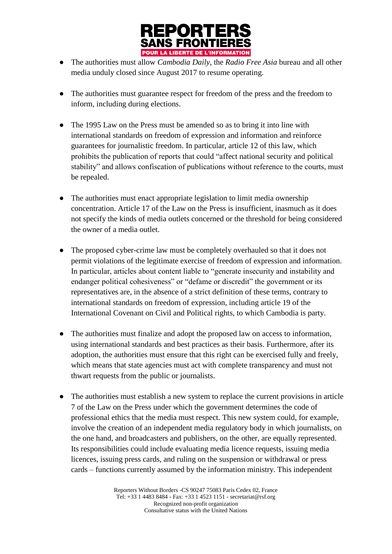

- The authorities must allow *Cambodia Daily*, the *Radio Free Asia* bureau and all other media unduly closed since August 2017 to resume operating.
- The authorities must guarantee respect for freedom of the press and the freedom to inform, including during elections.
- The 1995 Law on the Press must be amended so as to bring it into line with international standards on freedom of expression and information and reinforce guarantees for journalistic freedom. In particular, article 12 of this law, which prohibits the publication of reports that could "affect national security and political stability" and allows confiscation of publications without reference to the courts, must be repealed.
- The authorities must enact appropriate legislation to limit media ownership concentration. Article 17 of the Law on the Press is insufficient, inasmuch as it does not specify the kinds of media outlets concerned or the threshold for being considered the owner of a media outlet.
- The proposed cyber-crime law must be completely overhauled so that it does not permit violations of the legitimate exercise of freedom of expression and information. In particular, articles about content liable to "generate insecurity and instability and endanger political cohesiveness" or "defame or discredit" the government or its representatives are, in the absence of a strict definition of these terms, contrary to international standards on freedom of expression, including article 19 of the International Covenant on Civil and Political rights, to which Cambodia is party.
- The authorities must finalize and adopt the proposed law on access to information, using international standards and best practices as their basis. Furthermore, after its adoption, the authorities must ensure that this right can be exercised fully and freely, which means that state agencies must act with complete transparency and must not thwart requests from the public or journalists.
- The authorities must establish a new system to replace the current provisions in article 7 of the Law on the Press under which the government determines the code of professional ethics that the media must respect. This new system could, for example, involve the creation of an independent media regulatory body in which journalists, on the one hand, and broadcasters and publishers, on the other, are equally represented. Its responsibilities could include evaluating media licence requests, issuing media licences, issuing press cards, and ruling on the suspension or withdrawal or press cards – functions currently assumed by the information ministry. This independent